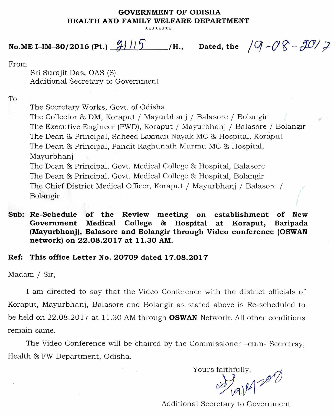## **GOVERNMENT OF ODISHA HEALTH AND FAMILY WELFARE DEPARTMENT**

**\*\*\*\*\*\*\*\*** 

## **No.ME I-IM-30/2016 (Pt.)**  $\frac{\partial f}{\partial r} = \frac{1}{5}$  /H., Dated, the  $\sqrt{9} - \frac{\partial g}{\partial r} - \frac{\partial \theta}{\partial r}$

From

Sri Surajit Das, OAS (S) Additional Secretary to Government

To

The Secretary Works, Govt. of Odisha The Collector & DM, Koraput / Mayurbhanj / Balasore / Bolangir The Executive Engineer (PWD), Koraput / Mayurbhanj / Balasore / Bolangir The Dean & Principal, Saheed Laxman Nayak MC & Hospital, Koraput The Dean & Principal, Pandit Raghunath Murmu MC & Hospital, Mayurbhanj The Dean & Principal, Govt. Medical College & Hospital, Balasore The Dean & Principal, Govt. Medical College & Hospital, Bolangir The Chief District Medical Officer, Koraput / Mayurbhanj / Balasore / Bolangir

**Sub: Re-Schedule of the Review meeting on establishment of New Government Medical College & Hospital at Koraput, Baripada (Mayurbhanj), Balasore and Bolangir through Video conference (OSWAN network) on 22.08.2017 at 11.30 AM.** 

## **Ref: This** office Letter No. 20709 dated 17.08.2017

Madam / Sir,

I am directed to say that the Video Conference with the district officials of Koraput, Mayurbhanj, Balasore and Bolangir as stated above is Re-scheduled to be held on 22.08.2017 at 11.30 AM through **OSWAN** Network. All other conditions remain same.

The Video Conference will be chaired by the Commissioner  $-cum$ -Secretray, Health & FW Department, Odisha.

Yours faithfully,  $1812012$ 

Additional Secretary to Government